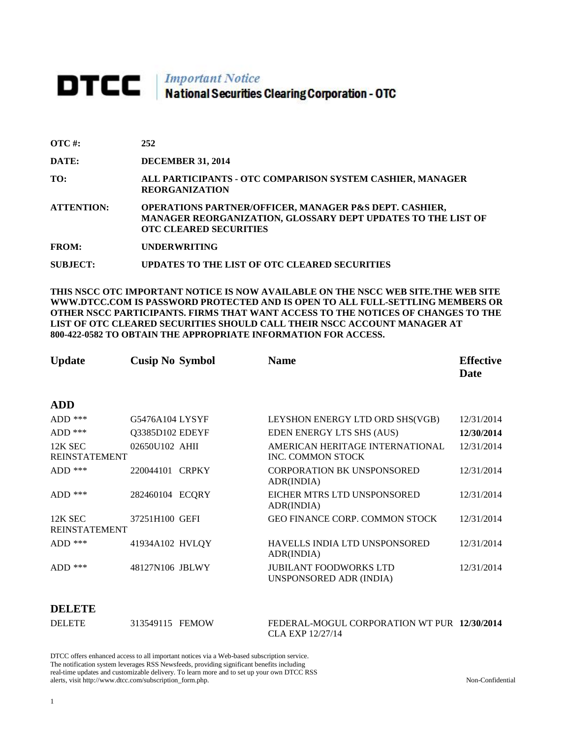# **DTCC** National Securities Clearing Corporation - OTC

| $\overline{OTC}$ #: | 252                                                                                                                                                                |
|---------------------|--------------------------------------------------------------------------------------------------------------------------------------------------------------------|
| DATE:               | <b>DECEMBER 31, 2014</b>                                                                                                                                           |
| TO:                 | ALL PARTICIPANTS - OTC COMPARISON SYSTEM CASHIER, MANAGER<br><b>REORGANIZATION</b>                                                                                 |
| <b>ATTENTION:</b>   | <b>OPERATIONS PARTNER/OFFICER, MANAGER P&amp;S DEPT. CASHIER,</b><br>MANAGER REORGANIZATION, GLOSSARY DEPT UPDATES TO THE LIST OF<br><b>OTC CLEARED SECURITIES</b> |
| <b>FROM:</b>        | <b>UNDERWRITING</b>                                                                                                                                                |
| <b>SUBJECT:</b>     | UPDATES TO THE LIST OF OTC CLEARED SECURITIES                                                                                                                      |

**THIS NSCC OTC IMPORTANT NOTICE IS NOW AVAILABLE ON THE NSCC WEB SITE.THE WEB SITE WWW.DTCC.COM IS PASSWORD PROTECTED AND IS OPEN TO ALL FULL-SETTLING MEMBERS OR OTHER NSCC PARTICIPANTS. FIRMS THAT WANT ACCESS TO THE NOTICES OF CHANGES TO THE LIST OF OTC CLEARED SECURITIES SHOULD CALL THEIR NSCC ACCOUNT MANAGER AT 800-422-0582 TO OBTAIN THE APPROPRIATE INFORMATION FOR ACCESS.** 

| <b>Update</b>                   | <b>Cusip No Symbol</b>    | <b>Name</b>                                                 | <b>Effective</b><br>Date |
|---------------------------------|---------------------------|-------------------------------------------------------------|--------------------------|
| ADD                             |                           |                                                             |                          |
| $ADD$ ***                       | G5476A104 LYSYF           | LEYSHON ENERGY LTD ORD SHS(VGB)                             | 12/31/2014               |
| $ADD$ ***                       | Q3385D102 EDEYF           | EDEN ENERGY LTS SHS (AUS)                                   | 12/30/2014               |
| 12K SEC<br><b>REINSTATEMENT</b> | 02650U102 AHII            | AMERICAN HERITAGE INTERNATIONAL<br><b>INC. COMMON STOCK</b> | 12/31/2014               |
| $ADD$ ***                       | <b>CRPKY</b><br>220044101 | <b>CORPORATION BK UNSPONSORED</b><br>ADR(INDIA)             | 12/31/2014               |
| $ADD$ ***                       | 282460104 ECQRY           | EICHER MTRS LTD UNSPONSORED<br>ADR(INDIA)                   | 12/31/2014               |
| 12K SEC<br><b>REINSTATEMENT</b> | 37251H100 GEFI            | <b>GEO FINANCE CORP. COMMON STOCK</b>                       | 12/31/2014               |
| $ADD$ ***                       | 41934A102 HVLQY           | HAVELLS INDIA LTD UNSPONSORED<br>ADR(INDIA)                 | 12/31/2014               |
| $ADD$ ***                       | 48127N106 JBLWY           | <b>JUBILANT FOODWORKS LTD</b><br>UNSPONSORED ADR (INDIA)    | 12/31/2014               |

#### **DELETE**

| <b>DELETE</b> | 313549115 FEMOW | FEDERAL-MOGUL CORPORATION WT PUR 12/30/2014 |  |
|---------------|-----------------|---------------------------------------------|--|
|               |                 | CLA EXP 12/27/14                            |  |

DTCC offers enhanced access to all important notices via a Web-based subscription service. The notification system leverages RSS Newsfeeds, providing significant benefits including real-time updates and customizable delivery. To learn more and to set up your own DTCC RSS alerts, visit http://www.dtcc.com/subscription\_form.php. Non-Confidential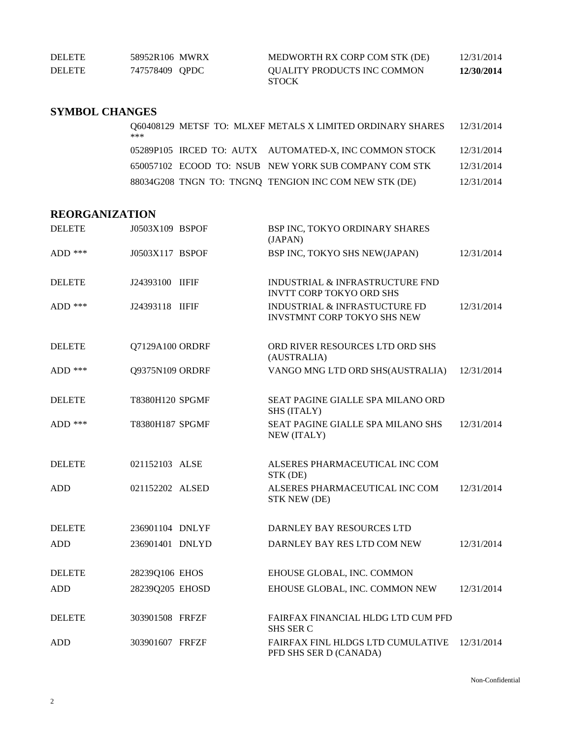| <b>DELETE</b> | 58952R106 MWRX | MEDWORTH RX CORP COM STK (DE)               | 12/31/2014 |
|---------------|----------------|---------------------------------------------|------------|
| <b>DELETE</b> | 747578409 OPDC | QUALITY PRODUCTS INC COMMON<br><b>STOCK</b> | 12/30/2014 |

### **SYMBOL CHANGES**

| ***                                                   |  |  | Q60408129 METSF TO: MLXEF METALS X LIMITED ORDINARY SHARES 12/31/2014 |            |
|-------------------------------------------------------|--|--|-----------------------------------------------------------------------|------------|
|                                                       |  |  | 05289P105 IRCED TO: AUTX AUTOMATED-X, INC COMMON STOCK                | 12/31/2014 |
| 650057102 ECOOD TO: NSUB NEW YORK SUB COMPANY COM STK |  |  |                                                                       | 12/31/2014 |
| 88034G208 TNGN TO: TNGNQ TENGION INC COM NEW STK (DE) |  |  |                                                                       | 12/31/2014 |

# **REORGANIZATION**

| <b>DELETE</b> | J0503X109 BSPOF | BSP INC, TOKYO ORDINARY SHARES<br>(JAPAN)                                     |            |
|---------------|-----------------|-------------------------------------------------------------------------------|------------|
| ADD $***$     | J0503X117 BSPOF | BSP INC, TOKYO SHS NEW(JAPAN)                                                 | 12/31/2014 |
| <b>DELETE</b> | J24393100 IIFIF | <b>INDUSTRIAL &amp; INFRASTRUCTURE FND</b><br><b>INVTT CORP TOKYO ORD SHS</b> |            |
| ADD ***       | J24393118 IIFIF | <b>INDUSTRIAL &amp; INFRASTUCTURE FD</b><br>INVSTMNT CORP TOKYO SHS NEW       | 12/31/2014 |
| <b>DELETE</b> | Q7129A100 ORDRF | ORD RIVER RESOURCES LTD ORD SHS<br>(AUSTRALIA)                                |            |
| $ADD$ ***     | Q9375N109 ORDRF | VANGO MNG LTD ORD SHS(AUSTRALIA)                                              | 12/31/2014 |
| <b>DELETE</b> | T8380H120 SPGMF | SEAT PAGINE GIALLE SPA MILANO ORD<br>SHS (ITALY)                              |            |
| $ADD$ ***     | T8380H187 SPGMF | SEAT PAGINE GIALLE SPA MILANO SHS<br>NEW (ITALY)                              | 12/31/2014 |
| <b>DELETE</b> | 021152103 ALSE  | ALSERES PHARMACEUTICAL INC COM<br>STK (DE)                                    |            |
| <b>ADD</b>    | 021152202 ALSED | ALSERES PHARMACEUTICAL INC COM<br>STK NEW (DE)                                | 12/31/2014 |
| <b>DELETE</b> | 236901104 DNLYF | DARNLEY BAY RESOURCES LTD                                                     |            |
| <b>ADD</b>    | 236901401 DNLYD | DARNLEY BAY RES LTD COM NEW                                                   | 12/31/2014 |
| <b>DELETE</b> | 28239Q106 EHOS  | EHOUSE GLOBAL, INC. COMMON                                                    |            |
| <b>ADD</b>    | 28239Q205 EHOSD | EHOUSE GLOBAL, INC. COMMON NEW                                                | 12/31/2014 |
| <b>DELETE</b> | 303901508 FRFZF | FAIRFAX FINANCIAL HLDG LTD CUM PFD<br><b>SHS SER C</b>                        |            |
| <b>ADD</b>    | 303901607 FRFZF | FAIRFAX FINL HLDGS LTD CUMULATIVE<br>PFD SHS SER D (CANADA)                   | 12/31/2014 |